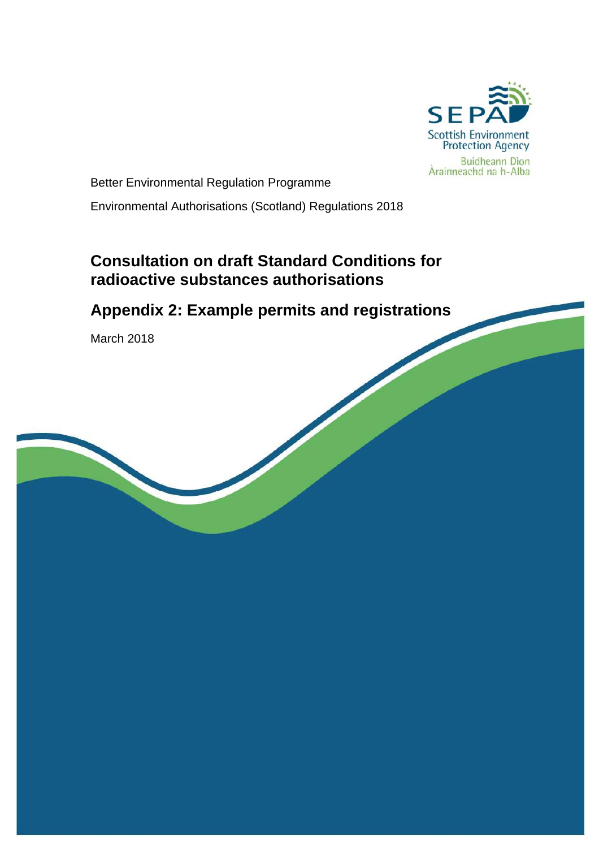

Better Environmental Regulation Programme

Environmental Authorisations (Scotland) Regulations 2018

# **Consultation on draft Standard Conditions for radioactive substances authorisations**

# **Appendix 2: Example permits and registrations**

March 2018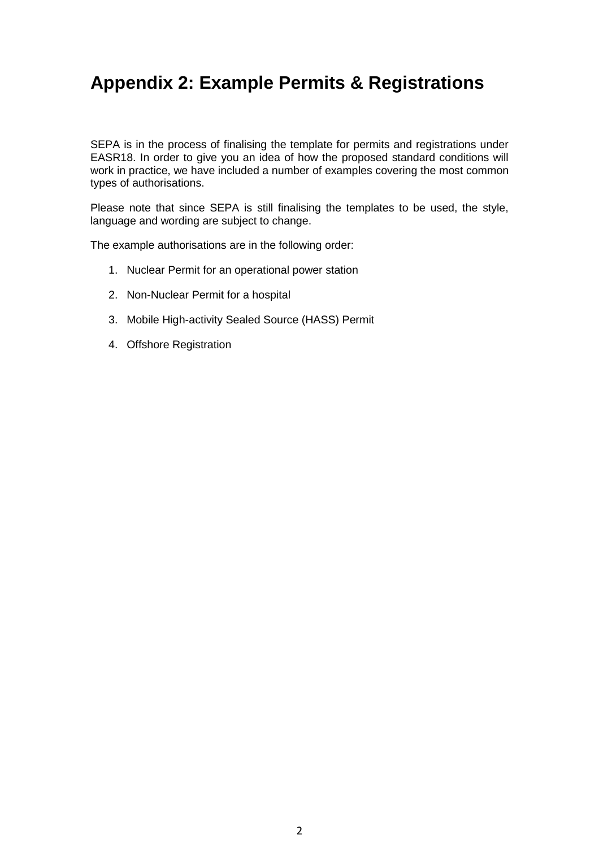# **Appendix 2: Example Permits & Registrations**

SEPA is in the process of finalising the template for permits and registrations under EASR18. In order to give you an idea of how the proposed standard conditions will work in practice, we have included a number of examples covering the most common types of authorisations.

Please note that since SEPA is still finalising the templates to be used, the style, language and wording are subject to change.

The example authorisations are in the following order:

- 1. Nuclear Permit for an operational power station
- 2. Non-Nuclear Permit for a hospital
- 3. Mobile High-activity Sealed Source (HASS) Permit
- 4. Offshore Registration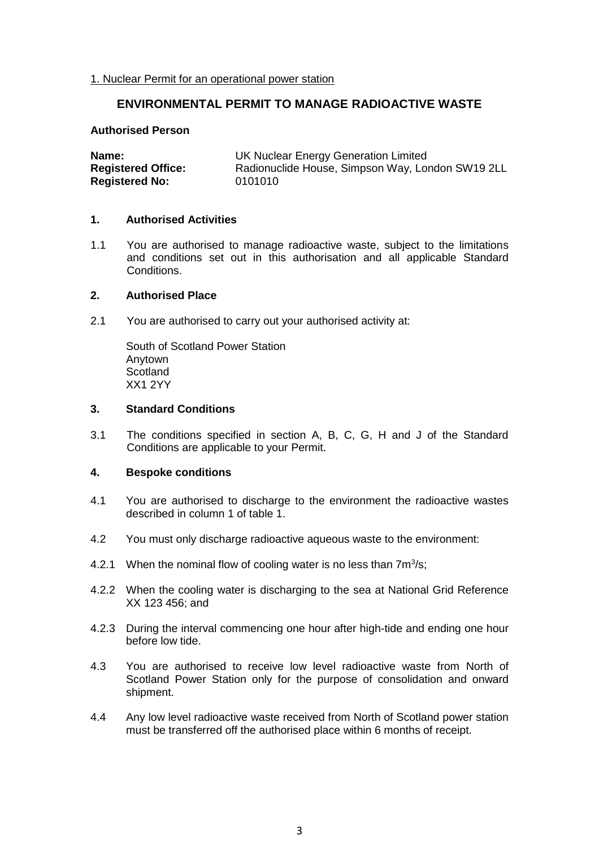#### 1. Nuclear Permit for an operational power station

# **ENVIRONMENTAL PERMIT TO MANAGE RADIOACTIVE WASTE**

#### **Authorised Person**

| Name:                     | UK Nuclear Energy Generation Limited             |  |  |
|---------------------------|--------------------------------------------------|--|--|
| <b>Registered Office:</b> | Radionuclide House, Simpson Way, London SW19 2LL |  |  |
| <b>Registered No:</b>     | 0101010                                          |  |  |

#### **1. Authorised Activities**

1.1 You are authorised to manage radioactive waste, subject to the limitations and conditions set out in this authorisation and all applicable Standard Conditions.

#### **2. Authorised Place**

2.1 You are authorised to carry out your authorised activity at:

South of Scotland Power Station Anytown **Scotland** XX1 2YY

#### **3. Standard Conditions**

3.1 The conditions specified in section A, B, C, G, H and J of the Standard Conditions are applicable to your Permit.

#### **4. Bespoke conditions**

- 4.1 You are authorised to discharge to the environment the radioactive wastes described in column 1 of table 1.
- 4.2 You must only discharge radioactive aqueous waste to the environment:
- 4.2.1 When the nominal flow of cooling water is no less than  $7m^3/s$ ;
- 4.2.2 When the cooling water is discharging to the sea at National Grid Reference XX 123 456; and
- 4.2.3 During the interval commencing one hour after high-tide and ending one hour before low tide.
- 4.3 You are authorised to receive low level radioactive waste from North of Scotland Power Station only for the purpose of consolidation and onward shipment.
- 4.4 Any low level radioactive waste received from North of Scotland power station must be transferred off the authorised place within 6 months of receipt.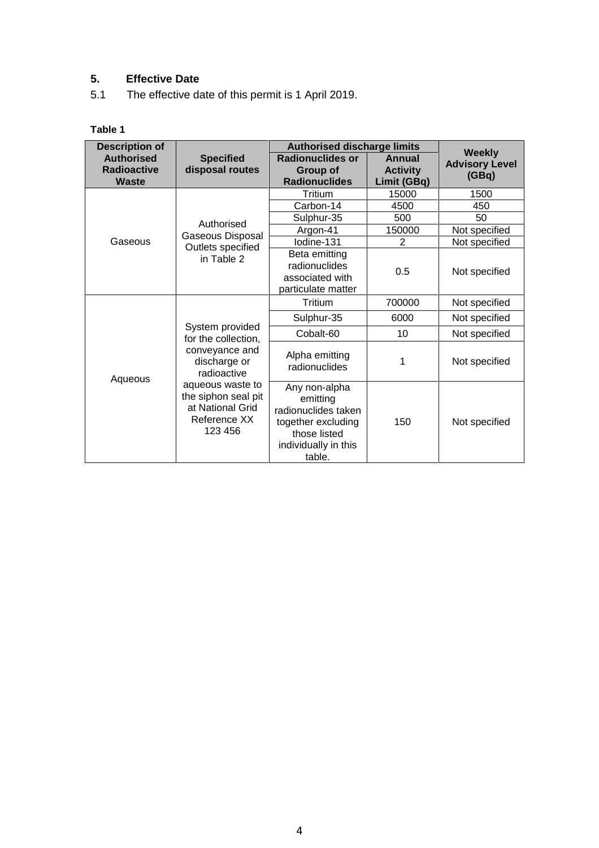# **5. Effective Date**

5.1 The effective date of this permit is 1 April 2019.

# **Table 1**

| <b>Description of</b>                                   | <b>Authorised discharge limits</b>                                                                                                      |                                                                                                                          |                                          |                                                 |
|---------------------------------------------------------|-----------------------------------------------------------------------------------------------------------------------------------------|--------------------------------------------------------------------------------------------------------------------------|------------------------------------------|-------------------------------------------------|
| <b>Authorised</b><br><b>Radioactive</b><br><b>Waste</b> | <b>Specified</b><br>disposal routes                                                                                                     | Radionuclides or<br>Group of<br><b>Radionuclides</b>                                                                     | Annual<br><b>Activity</b><br>Limit (GBq) | <b>Weekly</b><br><b>Advisory Level</b><br>(GBq) |
|                                                         |                                                                                                                                         | Tritium                                                                                                                  | 15000                                    | 1500                                            |
|                                                         |                                                                                                                                         | Carbon-14                                                                                                                | 4500                                     | 450                                             |
|                                                         | Authorised                                                                                                                              | Sulphur-35                                                                                                               | 500                                      | 50                                              |
|                                                         | Gaseous Disposal                                                                                                                        | Argon-41                                                                                                                 | 150000                                   | Not specified                                   |
| Gaseous                                                 | Outlets specified<br>in Table 2                                                                                                         | lodine-131                                                                                                               | $\overline{2}$                           | Not specified                                   |
|                                                         |                                                                                                                                         | Beta emitting<br>radionuclides<br>associated with<br>particulate matter                                                  | 0.5                                      | Not specified                                   |
|                                                         |                                                                                                                                         | Tritium                                                                                                                  | 700000                                   | Not specified                                   |
|                                                         |                                                                                                                                         | Sulphur-35                                                                                                               | 6000                                     | Not specified                                   |
|                                                         | System provided<br>for the collection,                                                                                                  | Cobalt-60                                                                                                                | 10                                       | Not specified                                   |
| Aqueous                                                 | conveyance and<br>discharge or<br>radioactive<br>aqueous waste to<br>the siphon seal pit<br>at National Grid<br>Reference XX<br>123 456 | Alpha emitting<br>radionuclides                                                                                          | 1                                        | Not specified                                   |
|                                                         |                                                                                                                                         | Any non-alpha<br>emitting<br>radionuclides taken<br>together excluding<br>those listed<br>individually in this<br>table. | 150                                      | Not specified                                   |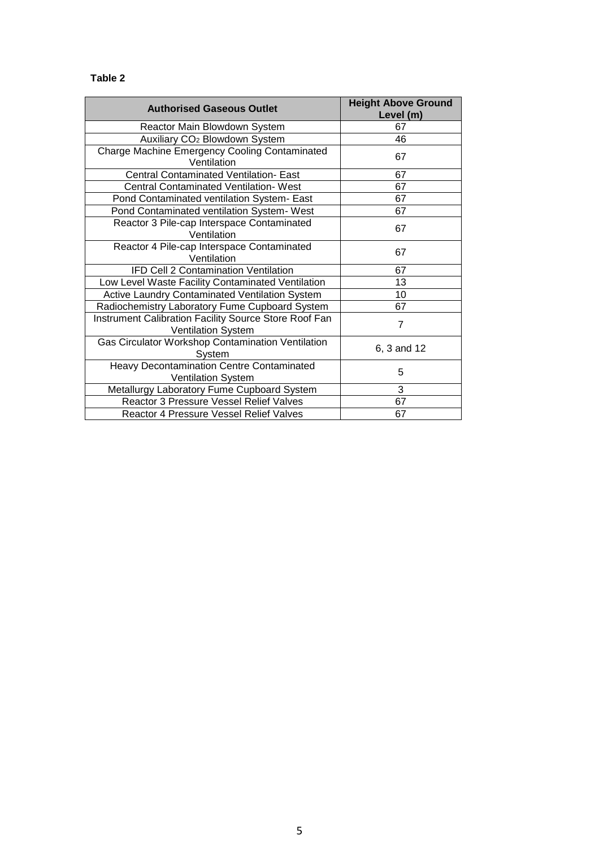# **Table 2**

| <b>Authorised Gaseous Outlet</b>                                              | <b>Height Above Ground</b><br>Level (m) |
|-------------------------------------------------------------------------------|-----------------------------------------|
| Reactor Main Blowdown System                                                  | 67                                      |
| Auxiliary CO <sub>2</sub> Blowdown System                                     | 46                                      |
| Charge Machine Emergency Cooling Contaminated<br>Ventilation                  | 67                                      |
| <b>Central Contaminated Ventilation- East</b>                                 | 67                                      |
| Central Contaminated Ventilation- West                                        | 67                                      |
| Pond Contaminated ventilation System- East                                    | 67                                      |
| Pond Contaminated ventilation System- West                                    | 67                                      |
| Reactor 3 Pile-cap Interspace Contaminated<br>Ventilation                     | 67                                      |
| Reactor 4 Pile-cap Interspace Contaminated<br>Ventilation                     | 67                                      |
| IFD Cell 2 Contamination Ventilation                                          | 67                                      |
| Low Level Waste Facility Contaminated Ventilation                             | 13                                      |
| Active Laundry Contaminated Ventilation System                                | 10                                      |
| Radiochemistry Laboratory Fume Cupboard System                                | 67                                      |
| Instrument Calibration Facility Source Store Roof Fan<br>Ventilation System   | $\overline{7}$                          |
| Gas Circulator Workshop Contamination Ventilation<br>System                   | 6, 3 and 12                             |
| <b>Heavy Decontamination Centre Contaminated</b><br><b>Ventilation System</b> | 5                                       |
| Metallurgy Laboratory Fume Cupboard System                                    | 3                                       |
| Reactor 3 Pressure Vessel Relief Valves                                       | 67                                      |
| Reactor 4 Pressure Vessel Relief Valves                                       | 67                                      |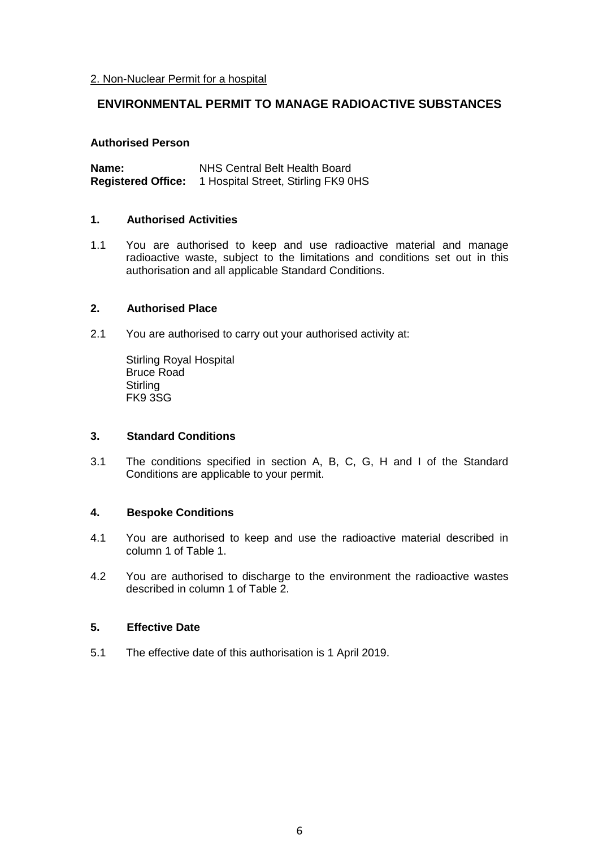# **ENVIRONMENTAL PERMIT TO MANAGE RADIOACTIVE SUBSTANCES**

#### **Authorised Person**

| Name:                     | NHS Central Belt Health Board       |  |
|---------------------------|-------------------------------------|--|
| <b>Registered Office:</b> | 1 Hospital Street, Stirling FK9 0HS |  |

## **1. Authorised Activities**

1.1 You are authorised to keep and use radioactive material and manage radioactive waste, subject to the limitations and conditions set out in this authorisation and all applicable Standard Conditions.

## **2. Authorised Place**

2.1 You are authorised to carry out your authorised activity at:

Stirling Royal Hospital Bruce Road **Stirling** FK9 3SG

#### **3. Standard Conditions**

3.1 The conditions specified in section A, B, C, G, H and I of the Standard Conditions are applicable to your permit.

# **4. Bespoke Conditions**

- 4.1 You are authorised to keep and use the radioactive material described in column 1 of Table 1.
- 4.2 You are authorised to discharge to the environment the radioactive wastes described in column 1 of Table 2.

## **5. Effective Date**

5.1 The effective date of this authorisation is 1 April 2019.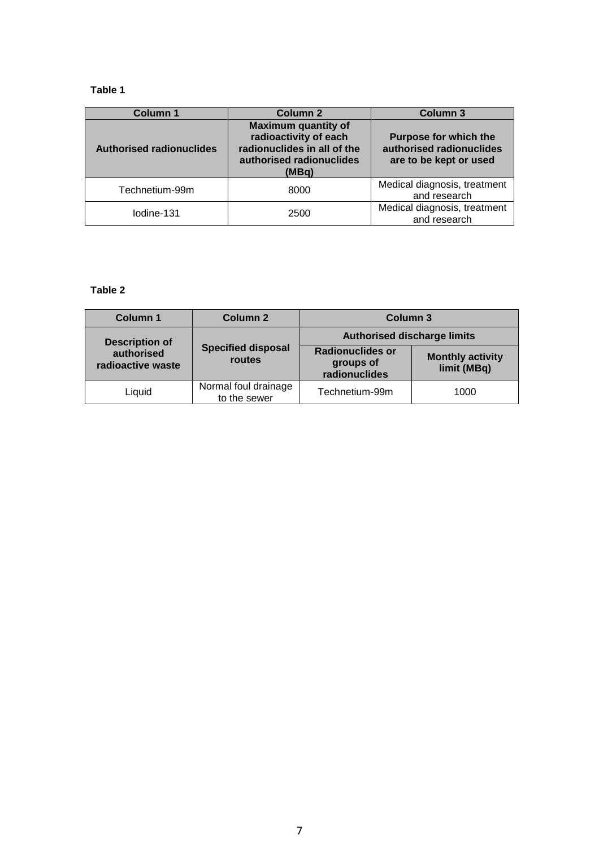# **Table 1**

| <b>Column 1</b>                 | Column 2                                                                                                                | <b>Column 3</b>                                                                    |
|---------------------------------|-------------------------------------------------------------------------------------------------------------------------|------------------------------------------------------------------------------------|
| <b>Authorised radionuclides</b> | <b>Maximum quantity of</b><br>radioactivity of each<br>radionuclides in all of the<br>authorised radionuclides<br>(MBq) | <b>Purpose for which the</b><br>authorised radionuclides<br>are to be kept or used |
| Technetium-99m                  | 8000                                                                                                                    | Medical diagnosis, treatment<br>and research                                       |
| Iodine-131                      | 2500                                                                                                                    | Medical diagnosis, treatment<br>and research                                       |

# **Table 2**

| <b>Column 1</b>                 | Column 2                             | Column 3                                              |                                        |
|---------------------------------|--------------------------------------|-------------------------------------------------------|----------------------------------------|
| <b>Description of</b>           |                                      | <b>Authorised discharge limits</b>                    |                                        |
| authorised<br>radioactive waste | <b>Specified disposal</b><br>routes  | <b>Radionuclides or</b><br>groups of<br>radionuclides | <b>Monthly activity</b><br>limit (MBq) |
| Liquid                          | Normal foul drainage<br>to the sewer | Technetium-99m                                        | 1000                                   |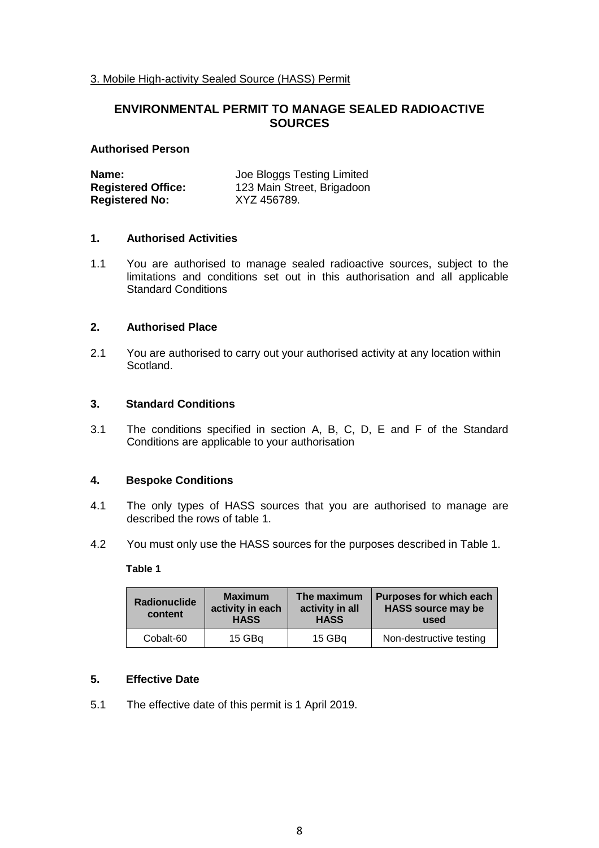3. Mobile High-activity Sealed Source (HASS) Permit

# **ENVIRONMENTAL PERMIT TO MANAGE SEALED RADIOACTIVE SOURCES**

#### **Authorised Person**

| Name:                     | Joe Bloggs Testing Limited |  |
|---------------------------|----------------------------|--|
| <b>Registered Office:</b> | 123 Main Street, Brigadoon |  |
| <b>Registered No:</b>     | XYZ 456789.                |  |

## **1. Authorised Activities**

1.1 You are authorised to manage sealed radioactive sources, subject to the limitations and conditions set out in this authorisation and all applicable Standard Conditions

# **2. Authorised Place**

2.1 You are authorised to carry out your authorised activity at any location within Scotland.

# **3. Standard Conditions**

3.1 The conditions specified in section A, B, C, D, E and F of the Standard Conditions are applicable to your authorisation

#### **4. Bespoke Conditions**

- 4.1 The only types of HASS sources that you are authorised to manage are described the rows of table 1.
- 4.2 You must only use the HASS sources for the purposes described in Table 1.

#### **Table 1**

| <b>Maximum</b><br><b>Radionuclide</b><br>activity in each<br>content<br><b>HASS</b> |        | The maximum<br>activity in all<br><b>HASS</b> | Purposes for which each<br><b>HASS source may be</b><br>used |
|-------------------------------------------------------------------------------------|--------|-----------------------------------------------|--------------------------------------------------------------|
| Cobalt-60                                                                           | 15 GBq | 15 GBa                                        | Non-destructive testing                                      |

# **5. Effective Date**

5.1 The effective date of this permit is 1 April 2019.